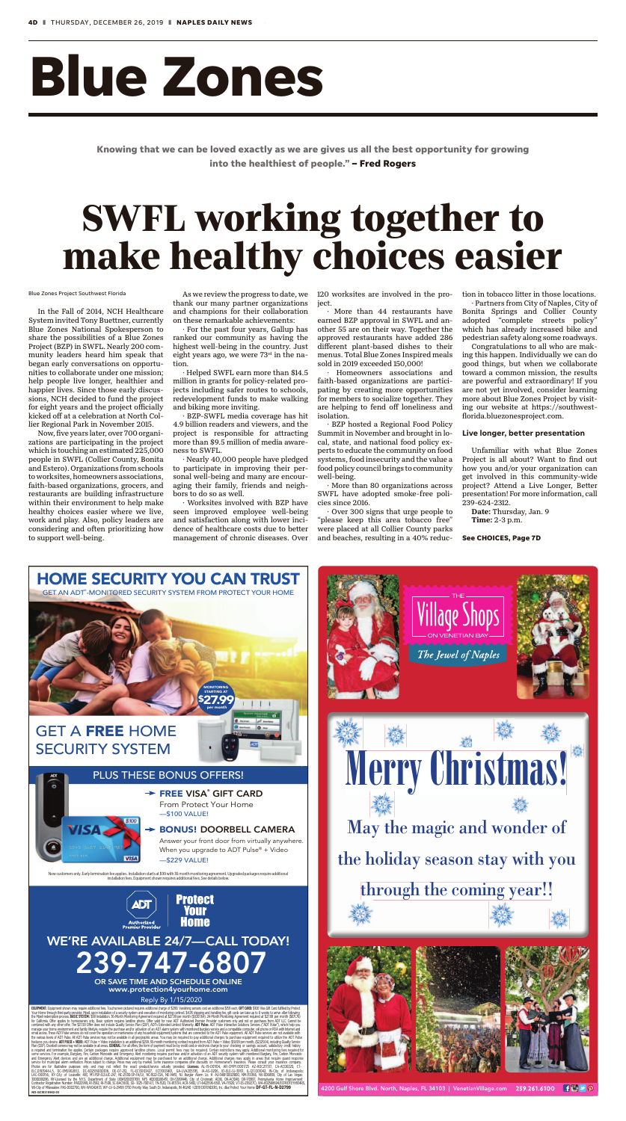

## WE'RE AVAILABLE 24/7—CALL TODAY! **239-747-68**

Answer your front door from virtually anywhere. When you upgrade to ADT Pulse<sup>®</sup> + Video

tomers only. Early termination fee applies. Installation starts at \$99 with 36 month monitoring agreement. Upgraded packages require additiona<br>installation fees. Equipment shown requires additional fees. See details below





OR SAVE TIME AND SCHEDULE ONLINE www.protection4yourhome.com





### PLUS THESE BONUS OFFERS!

#### BONUS! DOORBELL CAMERA



Reply By 1/15/2020

**EQUIPMENT:** Equipment shown may require additional feas. Toutsome picture requires additional constrained the may of S29. Since its and did may of the state of the state of the state of the state of the state of the state

# **Blue Zones**

In the Fall of 2014, NCH Healthcare System invited Tony Buettner, currently Blue Zones National Spokesperson to share the possibilities of a Blue Zones Project (BZP) in SWFL. Nearly 200 community leaders heard him speak that began early conversations on opportunities to collaborate under one mission; help people live longer, healthier and happier lives. Since those early discussions, NCH decided to fund the project for eight years and the project officially kicked off at a celebration at North Collier Regional Park in November 2015.

Now, five years later, over 700 organizations are participating in the project which is touching an estimated 225,000 people in SWFL (Collier County, Bonita and Estero). Organizations from schools to worksites, homeowners associations, faith-based organizations, grocers, and restaurants are building infrastructure within their environment to help make healthy choices easier where we live, work and play. Also, policy leaders are considering and often prioritizing how to support well-being.

As we review the progress to date, we thank our many partner organizations and champions for their collaboration on these remarkable achievements:

· For the past four years, Gallup has ranked our community as having the highest well-being in the country. Just eight years ago, we were 73rd in the nation.

· Helped SWFL earn more than \$14.5 million in grants for policy-related projects including safer routes to schools, redevelopment funds to make walking and biking more inviting.

· BZP-SWFL media coverage has hit 4.9 billion readers and viewers, and the project is responsible for attracting more than \$9.5 million of media awareness to SWFL.

· Nearly 40,000 people have pledged to participate in improving their personal well-being and many are encouraging their family, friends and neighbors to do so as well.

· Worksites involved with BZP have seen improved employee well-being and satisfaction along with lower incidence of healthcare costs due to better management of chronic diseases. Over 120 worksites are involved in the project.

· More than 44 restaurants have earned BZP approval in SWFL and another 55 are on their way. Together the approved restaurants have added 286 different plant-based dishes to their menus. Total Blue Zones Inspired meals sold in 2019 exceeded 150,000!

· Homeowners associations and faith-based organizations are participating by creating more opportunities for members to socialize together. They are helping to fend off loneliness and isolation.

· BZP hosted a Regional Food Policy Summit in November and brought in local, state, and national food policy experts to educate the community on food systems, food insecurity and the value a food policy council brings to community well-being.

· More than 80 organizations across SWFL have adopted smoke-free policies since 2016.

· Over 300 signs that urge people to "please keep this area tobacco free" were placed at all Collier County parks and beaches, resulting in a 40% reduction in tobacco litter in those locations.

· Partners from City of Naples, City of Bonita Springs and Collier County adopted "complete streets policy" which has already increased bike and pedestrian safety along some roadways.

Congratulations to all who are making this happen. Individually we can do good things, but when we collaborate toward a common mission, the results are powerful and extraordinary! If you are not yet involved, consider learning more about Blue Zones Project by visiting our website at https://southwestflorida.bluezonesproject.com.

#### **Live longer, better presentation**

Unfamiliar with what Blue Zones Project is all about? Want to find out how you and/or your organization can get involved in this community-wide project? Attend a Live Longer, Better presentation! For more information, call 239-624-2312.

Date: Thursday, Jan. 9 Time: 2-3 p.m.

#### Blue Zones Project Southwest Florida

**See CHOICES, Page 7D**

**Knowing that we can be loved exactly as we are gives us all the best opportunity for growing into the healthiest of people." – Fred Rogers**

## nake healthy choices easie Florida<br>As we review the progress to date, we<br>thank our many partner organizations ject.<br>Partners from City of Nap